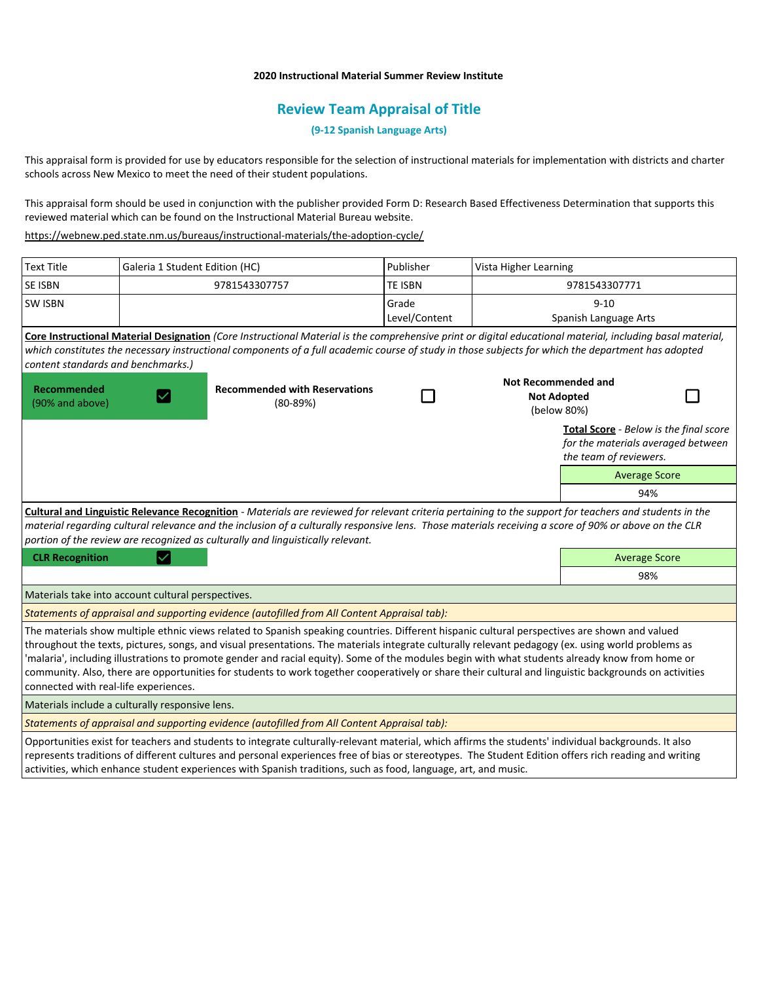### **2020 Instructional Material Summer Review Institute**

# **Review Team Appraisal of Title**

## **(9-12 Spanish Language Arts)**

This appraisal form is provided for use by educators responsible for the selection of instructional materials for implementation with districts and charter schools across New Mexico to meet the need of their student populations.

This appraisal form should be used in conjunction with the publisher provided Form D: Research Based Effectiveness Determination that supports this reviewed material which can be found on the Instructional Material Bureau website.

<https://webnew.ped.state.nm.us/bureaus/instructional-materials/the-adoption-cycle/>

| <b>Text Title</b>                                                                                                                                                                                                                                                                                                                                                                                                                                                                                                                                                                                                                                        | Galeria 1 Student Edition (HC) |                                                      | Publisher              | Vista Higher Learning                                           |                                                                                                        |
|----------------------------------------------------------------------------------------------------------------------------------------------------------------------------------------------------------------------------------------------------------------------------------------------------------------------------------------------------------------------------------------------------------------------------------------------------------------------------------------------------------------------------------------------------------------------------------------------------------------------------------------------------------|--------------------------------|------------------------------------------------------|------------------------|-----------------------------------------------------------------|--------------------------------------------------------------------------------------------------------|
| <b>SE ISBN</b>                                                                                                                                                                                                                                                                                                                                                                                                                                                                                                                                                                                                                                           | 9781543307757                  |                                                      | <b>TE ISBN</b>         | 9781543307771                                                   |                                                                                                        |
| <b>SW ISBN</b>                                                                                                                                                                                                                                                                                                                                                                                                                                                                                                                                                                                                                                           |                                |                                                      | Grade<br>Level/Content |                                                                 | $9 - 10$<br>Spanish Language Arts                                                                      |
| Core Instructional Material Designation (Core Instructional Material is the comprehensive print or digital educational material, including basal material,<br>which constitutes the necessary instructional components of a full academic course of study in those subjects for which the department has adopted<br>content standards and benchmarks.)                                                                                                                                                                                                                                                                                                   |                                |                                                      |                        |                                                                 |                                                                                                        |
| Recommended<br>(90% and above)                                                                                                                                                                                                                                                                                                                                                                                                                                                                                                                                                                                                                           |                                | <b>Recommended with Reservations</b><br>$(80 - 89%)$ |                        | <b>Not Recommended and</b><br><b>Not Adopted</b><br>(below 80%) |                                                                                                        |
|                                                                                                                                                                                                                                                                                                                                                                                                                                                                                                                                                                                                                                                          |                                |                                                      |                        |                                                                 | Total Score - Below is the final score<br>for the materials averaged between<br>the team of reviewers. |
|                                                                                                                                                                                                                                                                                                                                                                                                                                                                                                                                                                                                                                                          |                                |                                                      |                        |                                                                 | <b>Average Score</b>                                                                                   |
|                                                                                                                                                                                                                                                                                                                                                                                                                                                                                                                                                                                                                                                          |                                |                                                      |                        |                                                                 | 94%                                                                                                    |
| Cultural and Linguistic Relevance Recognition - Materials are reviewed for relevant criteria pertaining to the support for teachers and students in the<br>material regarding cultural relevance and the inclusion of a culturally responsive lens. Those materials receiving a score of 90% or above on the CLR<br>portion of the review are recognized as culturally and linguistically relevant.                                                                                                                                                                                                                                                      |                                |                                                      |                        |                                                                 |                                                                                                        |
| <b>CLR Recognition</b>                                                                                                                                                                                                                                                                                                                                                                                                                                                                                                                                                                                                                                   |                                |                                                      |                        |                                                                 | <b>Average Score</b>                                                                                   |
|                                                                                                                                                                                                                                                                                                                                                                                                                                                                                                                                                                                                                                                          |                                |                                                      |                        |                                                                 | 98%                                                                                                    |
| Materials take into account cultural perspectives.                                                                                                                                                                                                                                                                                                                                                                                                                                                                                                                                                                                                       |                                |                                                      |                        |                                                                 |                                                                                                        |
| Statements of appraisal and supporting evidence (autofilled from All Content Appraisal tab):                                                                                                                                                                                                                                                                                                                                                                                                                                                                                                                                                             |                                |                                                      |                        |                                                                 |                                                                                                        |
| The materials show multiple ethnic views related to Spanish speaking countries. Different hispanic cultural perspectives are shown and valued<br>throughout the texts, pictures, songs, and visual presentations. The materials integrate culturally relevant pedagogy (ex. using world problems as<br>'malaria', including illustrations to promote gender and racial equity). Some of the modules begin with what students already know from home or<br>community. Also, there are opportunities for students to work together cooperatively or share their cultural and linguistic backgrounds on activities<br>connected with real-life experiences. |                                |                                                      |                        |                                                                 |                                                                                                        |
| Materials include a culturally responsive lens.                                                                                                                                                                                                                                                                                                                                                                                                                                                                                                                                                                                                          |                                |                                                      |                        |                                                                 |                                                                                                        |
| Statements of appraisal and supporting evidence (autofilled from All Content Appraisal tab):                                                                                                                                                                                                                                                                                                                                                                                                                                                                                                                                                             |                                |                                                      |                        |                                                                 |                                                                                                        |
| Opportunities exist for teachers and students to integrate culturally-relevant material, which affirms the students' individual backgrounds. It also<br>represents traditions of different cultures and personal experiences free of bias or stereotypes. The Student Edition offers rich reading and writing<br>activities, which enhance student experiences with Spanish traditions, such as food, language, art, and music.                                                                                                                                                                                                                          |                                |                                                      |                        |                                                                 |                                                                                                        |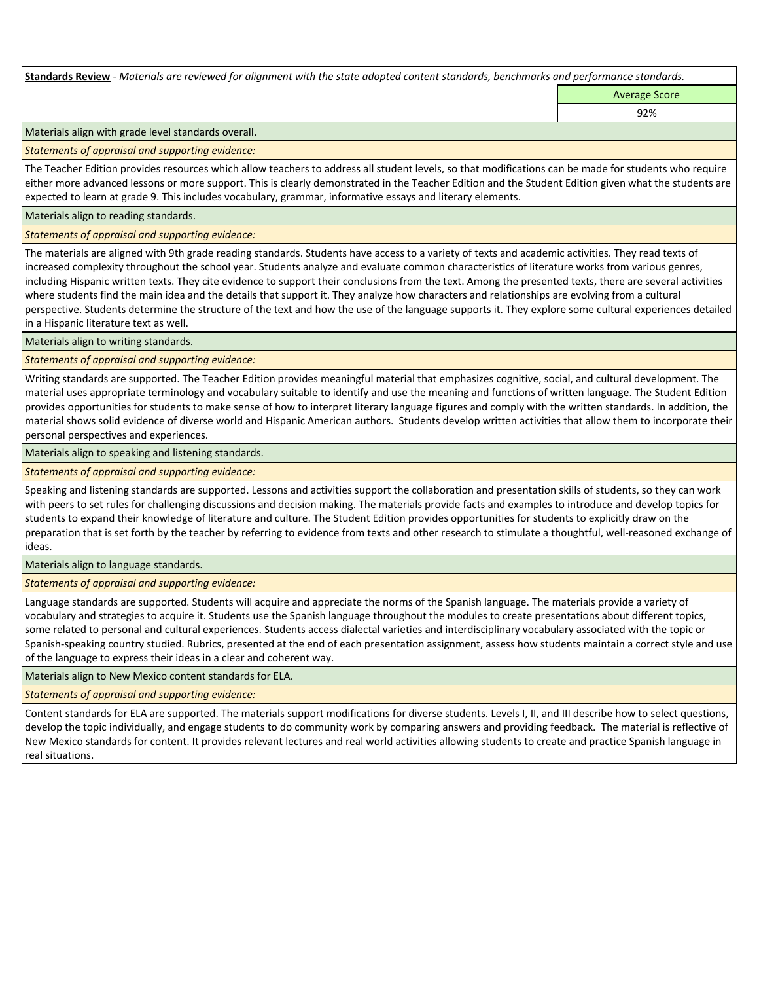**Standards Review** *- Materials are reviewed for alignment with the state adopted content standards, benchmarks and performance standards.*

Average Score 92%

Materials align with grade level standards overall.

*Statements of appraisal and supporting evidence:* 

The Teacher Edition provides resources which allow teachers to address all student levels, so that modifications can be made for students who require either more advanced lessons or more support. This is clearly demonstrated in the Teacher Edition and the Student Edition given what the students are expected to learn at grade 9. This includes vocabulary, grammar, informative essays and literary elements.

Materials align to reading standards.

*Statements of appraisal and supporting evidence:* 

The materials are aligned with 9th grade reading standards. Students have access to a variety of texts and academic activities. They read texts of increased complexity throughout the school year. Students analyze and evaluate common characteristics of literature works from various genres, including Hispanic written texts. They cite evidence to support their conclusions from the text. Among the presented texts, there are several activities where students find the main idea and the details that support it. They analyze how characters and relationships are evolving from a cultural perspective. Students determine the structure of the text and how the use of the language supports it. They explore some cultural experiences detailed in a Hispanic literature text as well.

Materials align to writing standards.

*Statements of appraisal and supporting evidence:* 

Writing standards are supported. The Teacher Edition provides meaningful material that emphasizes cognitive, social, and cultural development. The material uses appropriate terminology and vocabulary suitable to identify and use the meaning and functions of written language. The Student Edition provides opportunities for students to make sense of how to interpret literary language figures and comply with the written standards. In addition, the material shows solid evidence of diverse world and Hispanic American authors. Students develop written activities that allow them to incorporate their personal perspectives and experiences.

Materials align to speaking and listening standards.

*Statements of appraisal and supporting evidence:* 

Speaking and listening standards are supported. Lessons and activities support the collaboration and presentation skills of students, so they can work with peers to set rules for challenging discussions and decision making. The materials provide facts and examples to introduce and develop topics for students to expand their knowledge of literature and culture. The Student Edition provides opportunities for students to explicitly draw on the preparation that is set forth by the teacher by referring to evidence from texts and other research to stimulate a thoughtful, well-reasoned exchange of ideas.

Materials align to language standards.

*Statements of appraisal and supporting evidence:* 

Language standards are supported. Students will acquire and appreciate the norms of the Spanish language. The materials provide a variety of vocabulary and strategies to acquire it. Students use the Spanish language throughout the modules to create presentations about different topics, some related to personal and cultural experiences. Students access dialectal varieties and interdisciplinary vocabulary associated with the topic or Spanish-speaking country studied. Rubrics, presented at the end of each presentation assignment, assess how students maintain a correct style and use of the language to express their ideas in a clear and coherent way.

Materials align to New Mexico content standards for ELA.

*Statements of appraisal and supporting evidence:* 

Content standards for ELA are supported. The materials support modifications for diverse students. Levels I, II, and III describe how to select questions, develop the topic individually, and engage students to do community work by comparing answers and providing feedback. The material is reflective of New Mexico standards for content. It provides relevant lectures and real world activities allowing students to create and practice Spanish language in real situations.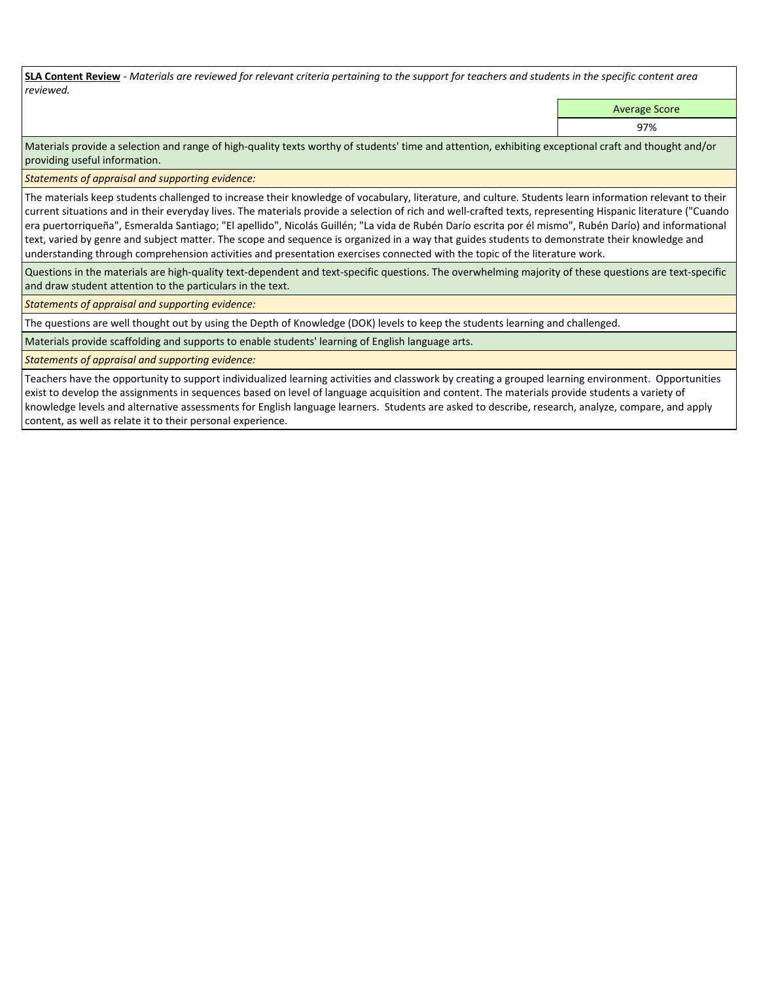**SLA Content Review** *- Materials are reviewed for relevant criteria pertaining to the support for teachers and students in the specific content area reviewed.*

Average Score

97%

Materials provide a selection and range of high-quality texts worthy of students' time and attention, exhibiting exceptional craft and thought and/or providing useful information.

*Statements of appraisal and supporting evidence:* 

The materials keep students challenged to increase their knowledge of vocabulary, literature, and culture. Students learn information relevant to their current situations and in their everyday lives. The materials provide a selection of rich and well-crafted texts, representing Hispanic literature ("Cuando era puertorriqueña", Esmeralda Santiago; "El apellido", Nicolás Guillén; "La vida de Rubén Darío escrita por él mismo", Rubén Darío) and informational text, varied by genre and subject matter. The scope and sequence is organized in a way that guides students to demonstrate their knowledge and understanding through comprehension activities and presentation exercises connected with the topic of the literature work.

Questions in the materials are high-quality text-dependent and text-specific questions. The overwhelming majority of these questions are text-specific and draw student attention to the particulars in the text.

*Statements of appraisal and supporting evidence:* 

The questions are well thought out by using the Depth of Knowledge (DOK) levels to keep the students learning and challenged.

Materials provide scaffolding and supports to enable students' learning of English language arts.

*Statements of appraisal and supporting evidence:* 

Teachers have the opportunity to support individualized learning activities and classwork by creating a grouped learning environment. Opportunities exist to develop the assignments in sequences based on level of language acquisition and content. The materials provide students a variety of knowledge levels and alternative assessments for English language learners. Students are asked to describe, research, analyze, compare, and apply content, as well as relate it to their personal experience.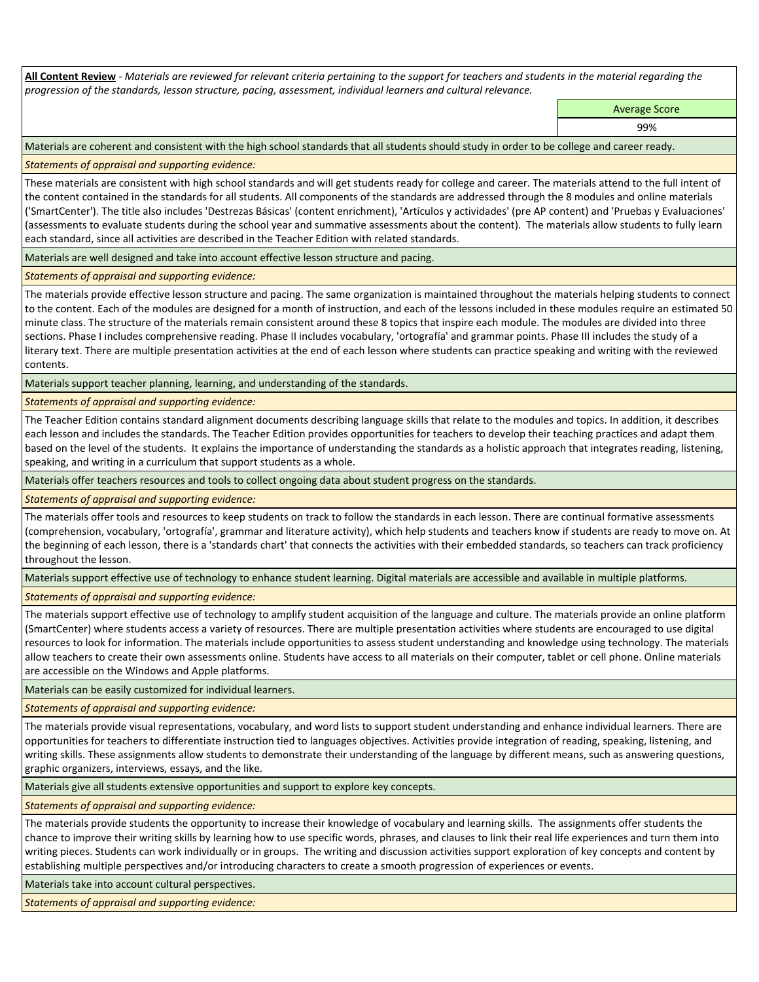**All Content Review** *- Materials are reviewed for relevant criteria pertaining to the support for teachers and students in the material regarding the progression of the standards, lesson structure, pacing, assessment, individual learners and cultural relevance.*

Average Score

99%

Materials are coherent and consistent with the high school standards that all students should study in order to be college and career ready.

*Statements of appraisal and supporting evidence:*

These materials are consistent with high school standards and will get students ready for college and career. The materials attend to the full intent of the content contained in the standards for all students. All components of the standards are addressed through the 8 modules and online materials ('SmartCenter'). The title also includes 'Destrezas Básicas' (content enrichment), 'Artículos y actividades' (pre AP content) and 'Pruebas y Evaluaciones' (assessments to evaluate students during the school year and summative assessments about the content). The materials allow students to fully learn each standard, since all activities are described in the Teacher Edition with related standards.

Materials are well designed and take into account effective lesson structure and pacing.

*Statements of appraisal and supporting evidence:*

The materials provide effective lesson structure and pacing. The same organization is maintained throughout the materials helping students to connect to the content. Each of the modules are designed for a month of instruction, and each of the lessons included in these modules require an estimated 50 minute class. The structure of the materials remain consistent around these 8 topics that inspire each module. The modules are divided into three sections. Phase I includes comprehensive reading. Phase II includes vocabulary, 'ortografía' and grammar points. Phase III includes the study of a literary text. There are multiple presentation activities at the end of each lesson where students can practice speaking and writing with the reviewed contents.

Materials support teacher planning, learning, and understanding of the standards.

*Statements of appraisal and supporting evidence:*

The Teacher Edition contains standard alignment documents describing language skills that relate to the modules and topics. In addition, it describes each lesson and includes the standards. The Teacher Edition provides opportunities for teachers to develop their teaching practices and adapt them based on the level of the students. It explains the importance of understanding the standards as a holistic approach that integrates reading, listening, speaking, and writing in a curriculum that support students as a whole.

Materials offer teachers resources and tools to collect ongoing data about student progress on the standards.

*Statements of appraisal and supporting evidence:*

The materials offer tools and resources to keep students on track to follow the standards in each lesson. There are continual formative assessments (comprehension, vocabulary, 'ortografía', grammar and literature activity), which help students and teachers know if students are ready to move on. At the beginning of each lesson, there is a 'standards chart' that connects the activities with their embedded standards, so teachers can track proficiency throughout the lesson.

Materials support effective use of technology to enhance student learning. Digital materials are accessible and available in multiple platforms.

*Statements of appraisal and supporting evidence:*

The materials support effective use of technology to amplify student acquisition of the language and culture. The materials provide an online platform (SmartCenter) where students access a variety of resources. There are multiple presentation activities where students are encouraged to use digital resources to look for information. The materials include opportunities to assess student understanding and knowledge using technology. The materials allow teachers to create their own assessments online. Students have access to all materials on their computer, tablet or cell phone. Online materials are accessible on the Windows and Apple platforms.

Materials can be easily customized for individual learners.

*Statements of appraisal and supporting evidence:* 

The materials provide visual representations, vocabulary, and word lists to support student understanding and enhance individual learners. There are opportunities for teachers to differentiate instruction tied to languages objectives. Activities provide integration of reading, speaking, listening, and writing skills. These assignments allow students to demonstrate their understanding of the language by different means, such as answering questions, graphic organizers, interviews, essays, and the like.

Materials give all students extensive opportunities and support to explore key concepts.

*Statements of appraisal and supporting evidence:*

The materials provide students the opportunity to increase their knowledge of vocabulary and learning skills. The assignments offer students the chance to improve their writing skills by learning how to use specific words, phrases, and clauses to link their real life experiences and turn them into writing pieces. Students can work individually or in groups. The writing and discussion activities support exploration of key concepts and content by establishing multiple perspectives and/or introducing characters to create a smooth progression of experiences or events.

Materials take into account cultural perspectives.

*Statements of appraisal and supporting evidence:*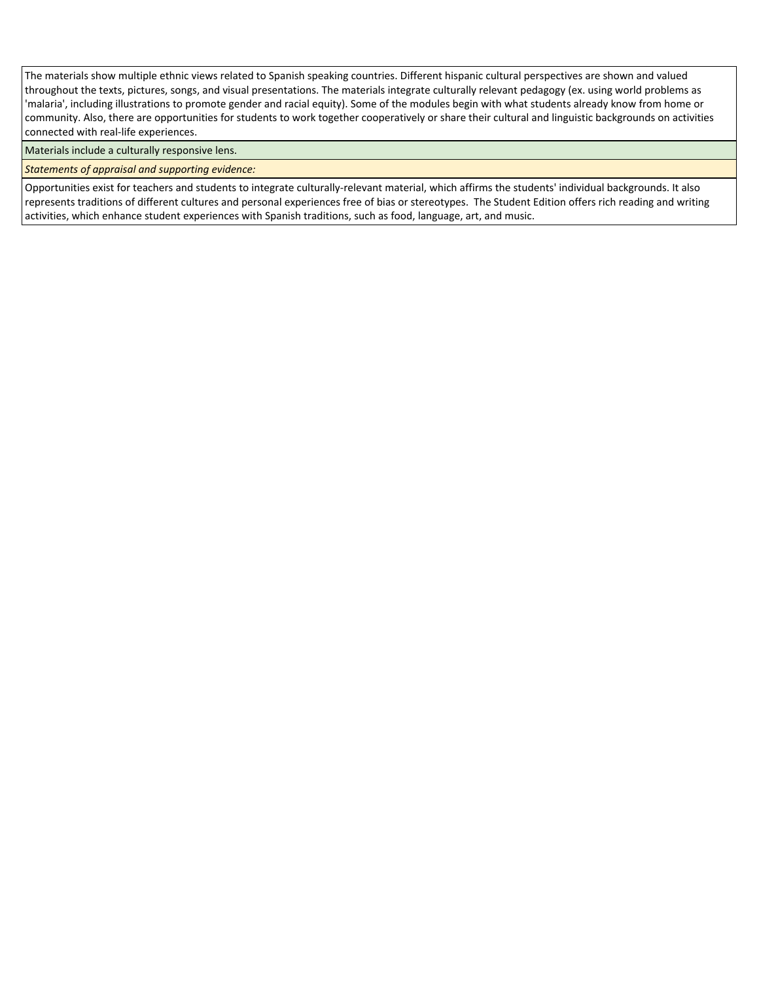The materials show multiple ethnic views related to Spanish speaking countries. Different hispanic cultural perspectives are shown and valued throughout the texts, pictures, songs, and visual presentations. The materials integrate culturally relevant pedagogy (ex. using world problems as 'malaria', including illustrations to promote gender and racial equity). Some of the modules begin with what students already know from home or community. Also, there are opportunities for students to work together cooperatively or share their cultural and linguistic backgrounds on activities connected with real-life experiences.

Materials include a culturally responsive lens.

*Statements of appraisal and supporting evidence:*

Opportunities exist for teachers and students to integrate culturally-relevant material, which affirms the students' individual backgrounds. It also represents traditions of different cultures and personal experiences free of bias or stereotypes. The Student Edition offers rich reading and writing activities, which enhance student experiences with Spanish traditions, such as food, language, art, and music.